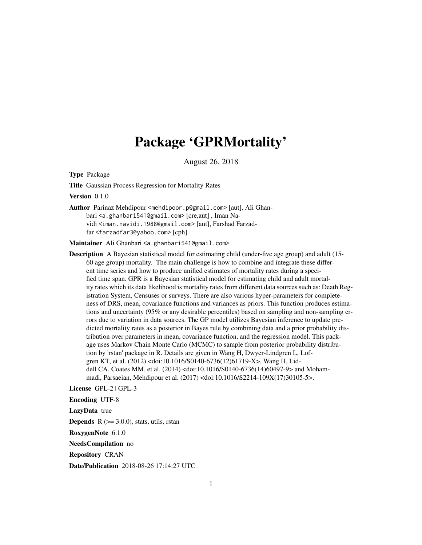# Package 'GPRMortality'

August 26, 2018

Type Package

Title Gaussian Process Regression for Mortality Rates

Version 0.1.0

Author Parinaz Mehdipour <mehdipoor.p@gmail.com> [aut], Ali Ghanbari <a.ghanbari541@gmail.com> [cre,aut] , Iman Navidi <iman.navidi.1988@gmail.com> [aut], Farshad Farzadfar <farzadfar3@yahoo.com> [cph]

Maintainer Ali Ghanbari <a.ghanbari541@gmail.com>

Description A Bayesian statistical model for estimating child (under-five age group) and adult (15- 60 age group) mortality. The main challenge is how to combine and integrate these different time series and how to produce unified estimates of mortality rates during a specified time span. GPR is a Bayesian statistical model for estimating child and adult mortality rates which its data likelihood is mortality rates from different data sources such as: Death Registration System, Censuses or surveys. There are also various hyper-parameters for completeness of DRS, mean, covariance functions and variances as priors. This function produces estimations and uncertainty (95% or any desirable percentiles) based on sampling and non-sampling errors due to variation in data sources. The GP model utilizes Bayesian inference to update predicted mortality rates as a posterior in Bayes rule by combining data and a prior probability distribution over parameters in mean, covariance function, and the regression model. This package uses Markov Chain Monte Carlo (MCMC) to sample from posterior probability distribution by 'rstan' package in R. Details are given in Wang H, Dwyer-Lindgren L, Lofgren KT, et al. (2012) <doi:10.1016/S0140-6736(12)61719-X>, Wang H, Liddell CA, Coates MM, et al. (2014) <doi:10.1016/S0140-6736(14)60497-9> and Mohammadi, Parsaeian, Mehdipour et al. (2017) <doi:10.1016/S2214-109X(17)30105-5>.

License GPL-2 | GPL-3

Encoding UTF-8

LazyData true

**Depends**  $R$  ( $>= 3.0.0$ ), stats, utils, rstan

RoxygenNote 6.1.0

NeedsCompilation no

Repository CRAN

Date/Publication 2018-08-26 17:14:27 UTC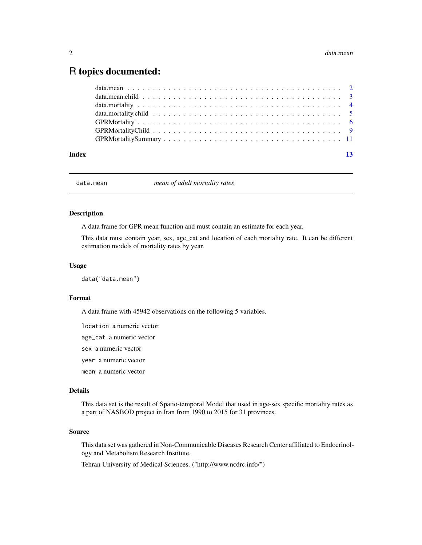# <span id="page-1-0"></span>R topics documented:

| Index | $\overline{13}$ |  |
|-------|-----------------|--|

data.mean *mean of adult mortality rates*

#### Description

A data frame for GPR mean function and must contain an estimate for each year.

This data must contain year, sex, age\_cat and location of each mortality rate. It can be different estimation models of mortality rates by year.

### Usage

data("data.mean")

#### Format

A data frame with 45942 observations on the following 5 variables.

location a numeric vector

age\_cat a numeric vector

sex a numeric vector

year a numeric vector

mean a numeric vector

# Details

This data set is the result of Spatio-temporal Model that used in age-sex specific mortality rates as a part of NASBOD project in Iran from 1990 to 2015 for 31 provinces.

#### Source

This data set was gathered in Non-Communicable Diseases Research Center affiliated to Endocrinology and Metabolism Research Institute,

Tehran University of Medical Sciences. ("http://www.ncdrc.info/")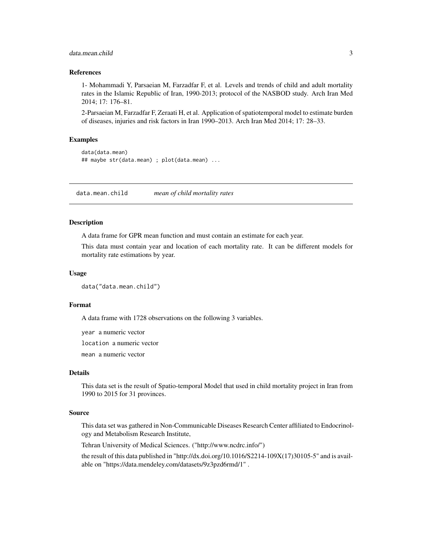# <span id="page-2-0"></span>data.mean.child 3

#### References

1- Mohammadi Y, Parsaeian M, Farzadfar F, et al. Levels and trends of child and adult mortality rates in the Islamic Republic of Iran, 1990-2013; protocol of the NASBOD study. Arch Iran Med 2014; 17: 176–81.

2-Parsaeian M, Farzadfar F, Zeraati H, et al. Application of spatiotemporal model to estimate burden of diseases, injuries and risk factors in Iran 1990–2013. Arch Iran Med 2014; 17: 28–33.

# Examples

```
data(data.mean)
## maybe str(data.mean) ; plot(data.mean) ...
```
data.mean.child *mean of child mortality rates*

# Description

A data frame for GPR mean function and must contain an estimate for each year.

This data must contain year and location of each mortality rate. It can be different models for mortality rate estimations by year.

#### Usage

```
data("data.mean.child")
```
# Format

A data frame with 1728 observations on the following 3 variables.

year a numeric vector

location a numeric vector

mean a numeric vector

# Details

This data set is the result of Spatio-temporal Model that used in child mortality project in Iran from 1990 to 2015 for 31 provinces.

# Source

This data set was gathered in Non-Communicable Diseases Research Center affiliated to Endocrinology and Metabolism Research Institute,

Tehran University of Medical Sciences. ("http://www.ncdrc.info/")

the result of this data published in "http://dx.doi.org/10.1016/S2214-109X(17)30105-5" and is available on "https://data.mendeley.com/datasets/9z3pzd6rmd/1" .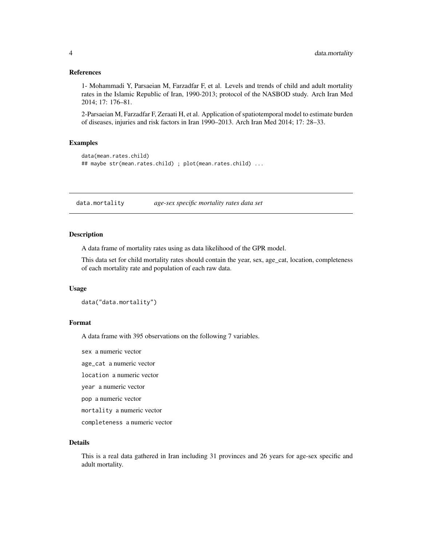# <span id="page-3-0"></span>References

1- Mohammadi Y, Parsaeian M, Farzadfar F, et al. Levels and trends of child and adult mortality rates in the Islamic Republic of Iran, 1990-2013; protocol of the NASBOD study. Arch Iran Med 2014; 17: 176–81.

2-Parsaeian M, Farzadfar F, Zeraati H, et al. Application of spatiotemporal model to estimate burden of diseases, injuries and risk factors in Iran 1990–2013. Arch Iran Med 2014; 17: 28–33.

# Examples

```
data(mean.rates.child)
## maybe str(mean.rates.child) ; plot(mean.rates.child) ...
```
data.mortality *age-sex specific mortality rates data set*

# Description

A data frame of mortality rates using as data likelihood of the GPR model.

This data set for child mortality rates should contain the year, sex, age\_cat, location, completeness of each mortality rate and population of each raw data.

#### Usage

data("data.mortality")

# Format

A data frame with 395 observations on the following 7 variables.

sex a numeric vector

age\_cat a numeric vector

location a numeric vector

year a numeric vector

pop a numeric vector

mortality a numeric vector

completeness a numeric vector

# Details

This is a real data gathered in Iran including 31 provinces and 26 years for age-sex specific and adult mortality.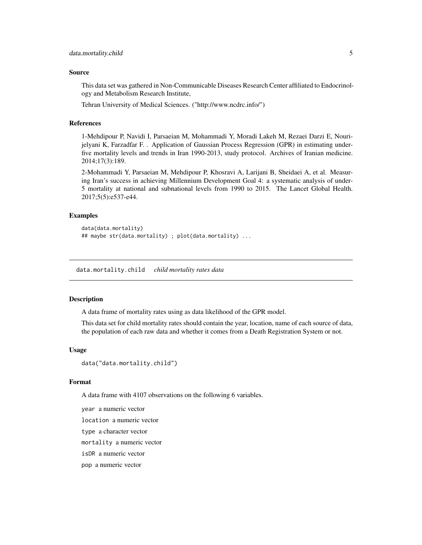## <span id="page-4-0"></span>Source

This data set was gathered in Non-Communicable Diseases Research Center affiliated to Endocrinology and Metabolism Research Institute,

Tehran University of Medical Sciences. ("http://www.ncdrc.info/")

# References

1-Mehdipour P, Navidi I, Parsaeian M, Mohammadi Y, Moradi Lakeh M, Rezaei Darzi E, Nourijelyani K, Farzadfar F. . Application of Gaussian Process Regression (GPR) in estimating underfive mortality levels and trends in Iran 1990-2013, study protocol. Archives of Iranian medicine. 2014;17(3):189.

2-Mohammadi Y, Parsaeian M, Mehdipour P, Khosravi A, Larijani B, Sheidaei A, et al. Measuring Iran's success in achieving Millennium Development Goal 4: a systematic analysis of under-5 mortality at national and subnational levels from 1990 to 2015. The Lancet Global Health. 2017;5(5):e537-e44.

# Examples

```
data(data.mortality)
## maybe str(data.mortality) ; plot(data.mortality) ...
```
data.mortality.child *child mortality rates data*

# Description

A data frame of mortality rates using as data likelihood of the GPR model.

This data set for child mortality rates should contain the year, location, name of each source of data, the population of each raw data and whether it comes from a Death Registration System or not.

#### Usage

```
data("data.mortality.child")
```
# Format

A data frame with 4107 observations on the following 6 variables.

year a numeric vector

location a numeric vector

type a character vector

mortality a numeric vector

isDR a numeric vector

pop a numeric vector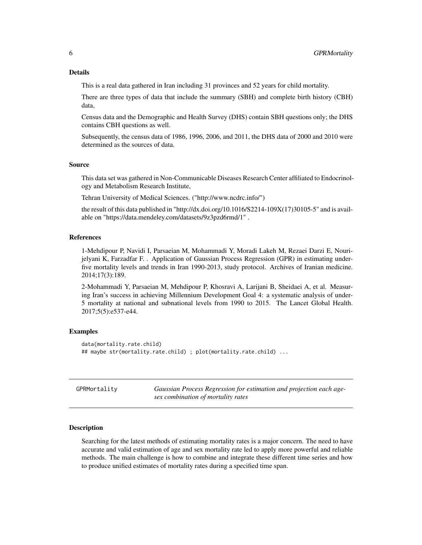<span id="page-5-0"></span>This is a real data gathered in Iran including 31 provinces and 52 years for child mortality.

There are three types of data that include the summary (SBH) and complete birth history (CBH) data,

Census data and the Demographic and Health Survey (DHS) contain SBH questions only; the DHS contains CBH questions as well.

Subsequently, the census data of 1986, 1996, 2006, and 2011, the DHS data of 2000 and 2010 were determined as the sources of data.

#### Source

This data set was gathered in Non-Communicable Diseases Research Center affiliated to Endocrinology and Metabolism Research Institute,

Tehran University of Medical Sciences. ("http://www.ncdrc.info/")

the result of this data published in "http://dx.doi.org/10.1016/S2214-109X(17)30105-5" and is available on "https://data.mendeley.com/datasets/9z3pzd6rmd/1" .

# References

1-Mehdipour P, Navidi I, Parsaeian M, Mohammadi Y, Moradi Lakeh M, Rezaei Darzi E, Nourijelyani K, Farzadfar F. . Application of Gaussian Process Regression (GPR) in estimating underfive mortality levels and trends in Iran 1990-2013, study protocol. Archives of Iranian medicine. 2014;17(3):189.

2-Mohammadi Y, Parsaeian M, Mehdipour P, Khosravi A, Larijani B, Sheidaei A, et al. Measuring Iran's success in achieving Millennium Development Goal 4: a systematic analysis of under-5 mortality at national and subnational levels from 1990 to 2015. The Lancet Global Health. 2017;5(5):e537-e44.

# Examples

```
data(mortality.rate.child)
## maybe str(mortality.rate.child) ; plot(mortality.rate.child) ...
```
<span id="page-5-1"></span>

| GPRMortality | Gaussian Process Regression for estimation and projection each age- |
|--------------|---------------------------------------------------------------------|
|              | sex combination of mortality rates                                  |

# Description

Searching for the latest methods of estimating mortality rates is a major concern. The need to have accurate and valid estimation of age and sex mortality rate led to apply more powerful and reliable methods. The main challenge is how to combine and integrate these different time series and how to produce unified estimates of mortality rates during a specified time span.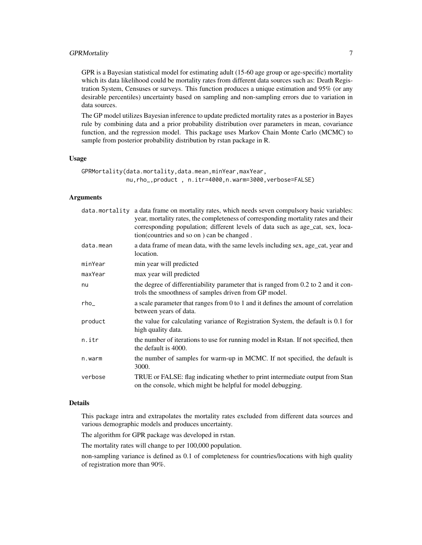# GPRMortality 7

GPR is a Bayesian statistical model for estimating adult (15-60 age group or age-specific) mortality which its data likelihood could be mortality rates from different data sources such as: Death Registration System, Censuses or surveys. This function produces a unique estimation and 95% (or any desirable percentiles) uncertainty based on sampling and non-sampling errors due to variation in data sources.

The GP model utilizes Bayesian inference to update predicted mortality rates as a posterior in Bayes rule by combining data and a prior probability distribution over parameters in mean, covariance function, and the regression model. This package uses Markov Chain Monte Carlo (MCMC) to sample from posterior probability distribution by rstan package in R.

# Usage

```
GPRMortality(data.mortality,data.mean,minYear,maxYear,
             nu,rho_,product , n.itr=4000,n.warm=3000,verbose=FALSE)
```
# Arguments

|           | data.mortality a data frame on mortality rates, which needs seven compulsory basic variables:<br>year, mortality rates, the completeness of corresponding mortality rates and their<br>corresponding population; different levels of data such as age_cat, sex, loca-<br>tion(countries and so on) can be changed. |
|-----------|--------------------------------------------------------------------------------------------------------------------------------------------------------------------------------------------------------------------------------------------------------------------------------------------------------------------|
| data.mean | a data frame of mean data, with the same levels including sex, age_cat, year and<br>location.                                                                                                                                                                                                                      |
| minYear   | min year will predicted                                                                                                                                                                                                                                                                                            |
| maxYear   | max year will predicted                                                                                                                                                                                                                                                                                            |
| nu        | the degree of differentiability parameter that is ranged from 0.2 to 2 and it con-<br>trols the smoothness of samples driven from GP model.                                                                                                                                                                        |
| $rho_{-}$ | a scale parameter that ranges from 0 to 1 and it defines the amount of correlation<br>between years of data.                                                                                                                                                                                                       |
| product   | the value for calculating variance of Registration System, the default is 0.1 for<br>high quality data.                                                                                                                                                                                                            |
| n.itr     | the number of iterations to use for running model in Rstan. If not specified, then<br>the default is 4000.                                                                                                                                                                                                         |
| n.warm    | the number of samples for warm-up in MCMC. If not specified, the default is<br>3000.                                                                                                                                                                                                                               |
| verbose   | TRUE or FALSE: flag indicating whether to print intermediate output from Stan<br>on the console, which might be helpful for model debugging.                                                                                                                                                                       |

# Details

This package intra and extrapolates the mortality rates excluded from different data sources and various demographic models and produces uncertainty.

The algorithm for GPR package was developed in rstan.

The mortality rates will change to per 100,000 population.

non-sampling variance is defined as 0.1 of completeness for countries/locations with high quality of registration more than 90%.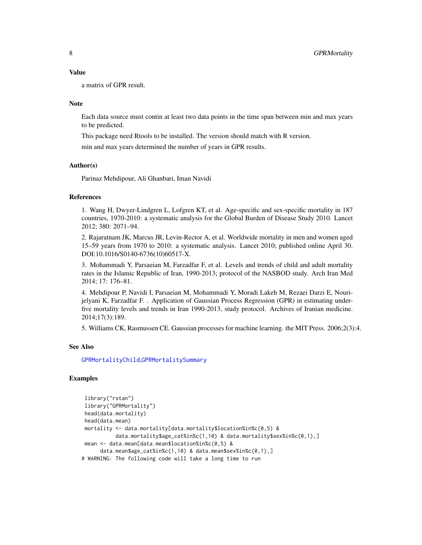# <span id="page-7-0"></span>Value

a matrix of GPR result.

# **Note**

Each data source must contin at least two data points in the time span between min and max years to be predicted.

This package need Rtools to be installed. The version should match with R version.

min and max years determined the number of years in GPR results.

# Author(s)

Parinaz Mehdipour, Ali Ghanbari, Iman Navidi

# References

1. Wang H, Dwyer-Lindgren L, Lofgren KT, et al. Age-specific and sex-specific mortality in 187 countries, 1970-2010: a systematic analysis for the Global Burden of Disease Study 2010. Lancet 2012; 380: 2071–94.

2. Rajaratnam JK, Marcus JR, Levin-Rector A, et al. Worldwide mortality in men and women aged 15–59 years from 1970 to 2010: a systematic analysis. Lancet 2010; published online April 30. DOI:10.1016/S0140-6736(10)60517-X.

3. Mohammadi Y, Parsaeian M, Farzadfar F, et al. Levels and trends of child and adult mortality rates in the Islamic Republic of Iran, 1990-2013; protocol of the NASBOD study. Arch Iran Med 2014; 17: 176–81.

4. Mehdipour P, Navidi I, Parsaeian M, Mohammadi Y, Moradi Lakeh M, Rezaei Darzi E, Nourijelyani K, Farzadfar F. . Application of Gaussian Process Regression (GPR) in estimating underfive mortality levels and trends in Iran 1990-2013, study protocol. Archives of Iranian medicine. 2014;17(3):189.

5. Williams CK, Rasmussen CE. Gaussian processes for machine learning. the MIT Press. 2006;2(3):4.

#### See Also

[GPRMortalityChild](#page-8-1),[GPRMortalitySummary](#page-10-1)

# Examples

```
library("rstan")
library("GPRMortality")
head(data.mortality)
head(data.mean)
mortality <- data.mortality[data.mortality$location%in%c(0,5) &
           data.mortality$age_cat%in%c(1,10) & data.mortality$sex%in%c(0,1),]
mean <- data.mean[data.mean$location%in%c(0,5) &
     data.mean$age_cat%in%c(1,10) & data.mean$sex%in%c(0,1),]
# WARNING: The following code will take a long time to run
```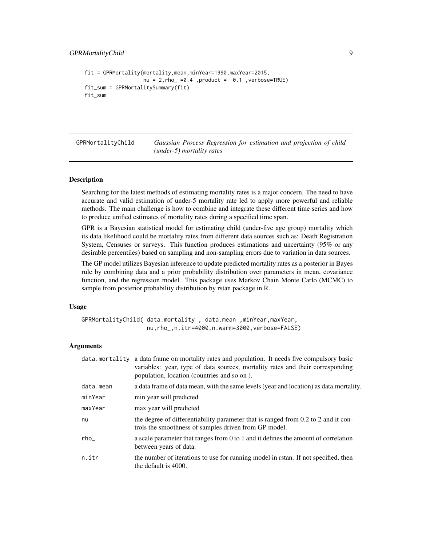```
fit = GPRMortality(mortality,mean,minYear=1990,maxYear=2015,
                   nu = 2,rho_ = 0.4, product = 0.1, verbose = TRUEfit_sum = GPRMortalitySummary(fit)
fit_sum
```
<span id="page-8-1"></span>GPRMortalityChild *Gaussian Process Regression for estimation and projection of child (under-5) mortality rates*

#### Description

Searching for the latest methods of estimating mortality rates is a major concern. The need to have accurate and valid estimation of under-5 mortality rate led to apply more powerful and reliable methods. The main challenge is how to combine and integrate these different time series and how to produce unified estimates of mortality rates during a specified time span.

GPR is a Bayesian statistical model for estimating child (under-five age group) mortality which its data likelihood could be mortality rates from different data sources such as: Death Registration System, Censuses or surveys. This function produces estimations and uncertainty (95% or any desirable percentiles) based on sampling and non-sampling errors due to variation in data sources.

The GP model utilizes Bayesian inference to update predicted mortality rates as a posterior in Bayes rule by combining data and a prior probability distribution over parameters in mean, covariance function, and the regression model. This package uses Markov Chain Monte Carlo (MCMC) to sample from posterior probability distribution by rstan package in R.

# Usage

```
GPRMortalityChild( data.mortality , data.mean ,minYear,maxYear,
                   nu,rho_,n.itr=4000,n.warm=3000,verbose=FALSE)
```
# Arguments

|           | data mortality a data frame on mortality rates and population. It needs five compulsory basic<br>variables: year, type of data sources, mortality rates and their corresponding<br>population, location (countries and so on). |
|-----------|--------------------------------------------------------------------------------------------------------------------------------------------------------------------------------------------------------------------------------|
| data.mean | a data frame of data mean, with the same levels (year and location) as data mortality.                                                                                                                                         |
| minYear   | min year will predicted                                                                                                                                                                                                        |
| maxYear   | max year will predicted                                                                                                                                                                                                        |
| nu        | the degree of differentiability parameter that is ranged from 0.2 to 2 and it con-<br>trols the smoothness of samples driven from GP model.                                                                                    |
| $rho_-\$  | a scale parameter that ranges from 0 to 1 and it defines the amount of correlation<br>between years of data.                                                                                                                   |
| n.itr     | the number of iterations to use for running model in rstan. If not specified, then<br>the default is 4000.                                                                                                                     |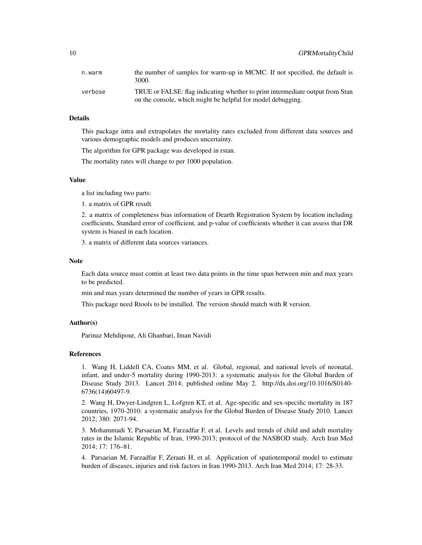| n.warm  | the number of samples for warm-up in MCMC. If not specified, the default is<br>3000.                                                         |
|---------|----------------------------------------------------------------------------------------------------------------------------------------------|
| verbose | TRUE or FALSE: flag indicating whether to print intermediate output from Stan<br>on the console, which might be helpful for model debugging. |

# Details

This package intra and extrapolates the mortality rates excluded from different data sources and various demographic models and produces uncertainty.

The algorithm for GPR package was developed in rstan.

The mortality rates will change to per 1000 population.

# Value

a list including two parts:

1. a matrix of GPR result.

2. a matrix of completeness bias information of Dearth Registration System by location including coefficients, Standard error of coefficient, and p-value of coefficients whether it can assess that DR system is biased in each location.

3. a matrix of different data sources variances.

# **Note**

Each data source must contin at least two data points in the time span between min and max years to be predicted.

min and max years determined the number of years in GPR results.

This package need Rtools to be installed. The version should match with R version.

#### Author(s)

Parinaz Mehdipour, Ali Ghanbari, Iman Navidi

#### References

1. Wang H, Liddell CA, Coates MM, et al. Global, regional, and national levels of neonatal, infant, and under-5 mortality during 1990-2013: a systematic analysis for the Global Burden of Disease Study 2013. Lancet 2014; published online May 2. http://dx.doi.org/10.1016/S0140- 6736(14)60497-9.

2. Wang H, Dwyer-Lindgren L, Lofgren KT, et al. Age-specific and sex-specific mortality in 187 countries, 1970-2010: a systematic analysis for the Global Burden of Disease Study 2010. Lancet 2012; 380: 2071-94.

3. Mohammadi Y, Parsaeian M, Farzadfar F, et al. Levels and trends of child and adult mortality rates in the Islamic Republic of Iran, 1990-2013; protocol of the NASBOD study. Arch Iran Med 2014; 17: 176–81.

4. Parsaeian M, Farzadfar F, Zeraati H, et al. Application of spatiotemporal model to estimate burden of diseases, injuries and risk factors in Iran 1990-2013. Arch Iran Med 2014; 17: 28-33.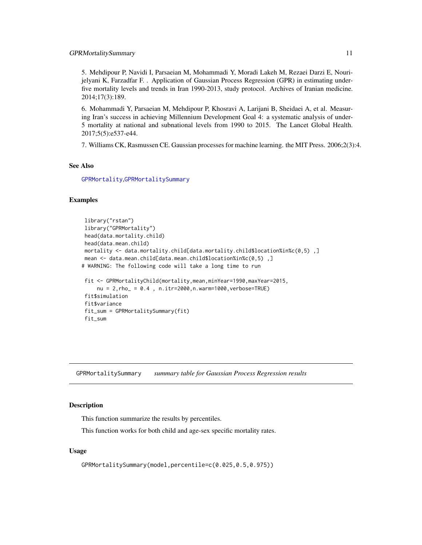<span id="page-10-0"></span>5. Mehdipour P, Navidi I, Parsaeian M, Mohammadi Y, Moradi Lakeh M, Rezaei Darzi E, Nourijelyani K, Farzadfar F. . Application of Gaussian Process Regression (GPR) in estimating underfive mortality levels and trends in Iran 1990-2013, study protocol. Archives of Iranian medicine. 2014;17(3):189.

6. Mohammadi Y, Parsaeian M, Mehdipour P, Khosravi A, Larijani B, Sheidaei A, et al. Measuring Iran's success in achieving Millennium Development Goal 4: a systematic analysis of under-5 mortality at national and subnational levels from 1990 to 2015. The Lancet Global Health. 2017;5(5):e537-e44.

7. Williams CK, Rasmussen CE. Gaussian processes for machine learning. the MIT Press. 2006;2(3):4.

# See Also

[GPRMortality](#page-5-1),[GPRMortalitySummary](#page-10-1)

# Examples

```
library("rstan")
library("GPRMortality")
head(data.mortality.child)
head(data.mean.child)
mortality <- data.mortality.child[data.mortality.child$location%in%c(0,5) ,]
mean <- data.mean.child[data.mean.child$location%in%c(0,5),]
# WARNING: The following code will take a long time to run
fit <- GPRMortalityChild(mortality,mean,minYear=1990,maxYear=2015,
    nu = 2,rho_ = 0.4 , n.itr=2000,n.warm=1000,verbose=TRUE)
fit$simulation
fit$variance
fit_sum = GPRMortalitySummary(fit)
fit_sum
```
<span id="page-10-1"></span>GPRMortalitySummary *summary table for Gaussian Process Regression results*

# Description

This function summarize the results by percentiles.

This function works for both child and age-sex specific mortality rates.

# Usage

```
GPRMortalitySummary(model,percentile=c(0.025,0.5,0.975))
```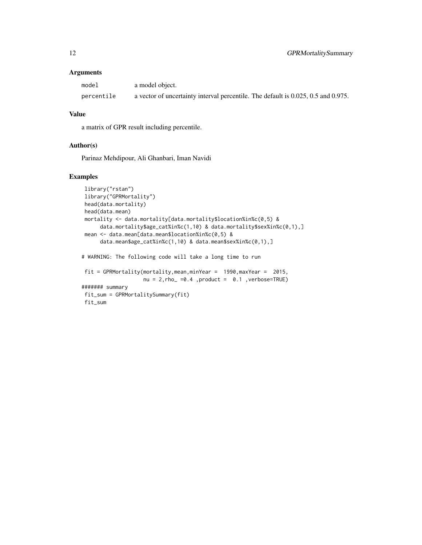# Arguments

| model      | a model object.                                                                   |
|------------|-----------------------------------------------------------------------------------|
| percentile | a vector of uncertainty interval percentile. The default is 0.025, 0.5 and 0.975. |

# Value

a matrix of GPR result including percentile.

#### Author(s)

Parinaz Mehdipour, Ali Ghanbari, Iman Navidi

# Examples

```
library("rstan")
library("GPRMortality")
head(data.mortality)
head(data.mean)
mortality <- data.mortality[data.mortality$location%in%c(0,5) &
     data.mortality$age_cat%in%c(1,10) & data.mortality$sex%in%c(0,1),]
mean <- data.mean[data.mean$location%in%c(0,5) &
     data.mean$age_cat%in%c(1,10) & data.mean$sex%in%c(0,1),]
# WARNING: The following code will take a long time to run
fit = GPRMortality(mortality,mean,minYear = 1990,maxYear = 2015,
                   nu = 2,rho = 50.4, product = 0.1, verbose=TRUE)
####### summary
fit_sum = GPRMortalitySummary(fit)
fit_sum
```